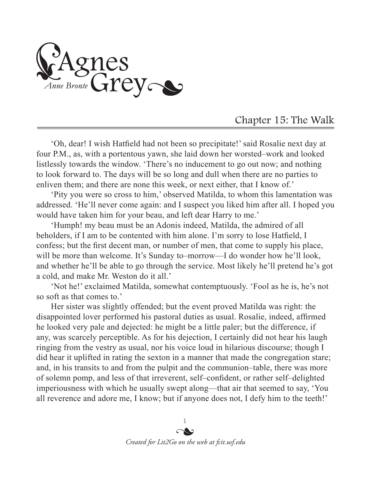Agnes<br>Anne Bronte Grey

## Chapter 15: The Walk

'Oh, dear! I wish Hatfield had not been so precipitate!' said Rosalie next day at four P.M., as, with a portentous yawn, she laid down her worsted–work and looked listlessly towards the window. 'There's no inducement to go out now; and nothing to look forward to. The days will be so long and dull when there are no parties to enliven them; and there are none this week, or next either, that I know of.'

'Pity you were so cross to him,' observed Matilda, to whom this lamentation was addressed. 'He'll never come again: and I suspect you liked him after all. I hoped you would have taken him for your beau, and left dear Harry to me.'

'Humph! my beau must be an Adonis indeed, Matilda, the admired of all beholders, if I am to be contented with him alone. I'm sorry to lose Hatfield, I confess; but the first decent man, or number of men, that come to supply his place, will be more than welcome. It's Sunday to–morrow—I do wonder how he'll look, and whether he'll be able to go through the service. Most likely he'll pretend he's got a cold, and make Mr. Weston do it all.'

'Not he!' exclaimed Matilda, somewhat contemptuously. 'Fool as he is, he's not so soft as that comes to.'

Her sister was slightly offended; but the event proved Matilda was right: the disappointed lover performed his pastoral duties as usual. Rosalie, indeed, affirmed he looked very pale and dejected: he might be a little paler; but the difference, if any, was scarcely perceptible. As for his dejection, I certainly did not hear his laugh ringing from the vestry as usual, nor his voice loud in hilarious discourse; though I did hear it uplifted in rating the sexton in a manner that made the congregation stare; and, in his transits to and from the pulpit and the communion–table, there was more of solemn pomp, and less of that irreverent, self–confident, or rather self–delighted imperiousness with which he usually swept along—that air that seemed to say, 'You all reverence and adore me, I know; but if anyone does not, I defy him to the teeth!'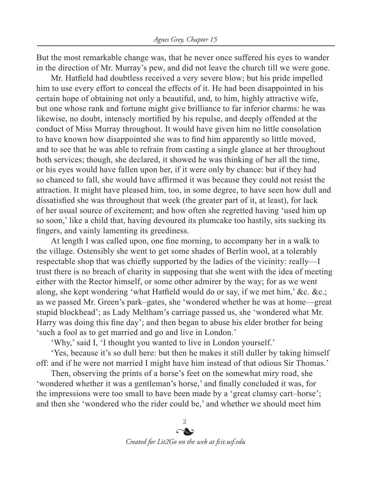But the most remarkable change was, that he never once suffered his eyes to wander in the direction of Mr. Murray's pew, and did not leave the church till we were gone.

Mr. Hatfield had doubtless received a very severe blow; but his pride impelled him to use every effort to conceal the effects of it. He had been disappointed in his certain hope of obtaining not only a beautiful, and, to him, highly attractive wife, but one whose rank and fortune might give brilliance to far inferior charms: he was likewise, no doubt, intensely mortified by his repulse, and deeply offended at the conduct of Miss Murray throughout. It would have given him no little consolation to have known how disappointed she was to find him apparently so little moved, and to see that he was able to refrain from casting a single glance at her throughout both services; though, she declared, it showed he was thinking of her all the time, or his eyes would have fallen upon her, if it were only by chance: but if they had so chanced to fall, she would have affirmed it was because they could not resist the attraction. It might have pleased him, too, in some degree, to have seen how dull and dissatisfied she was throughout that week (the greater part of it, at least), for lack of her usual source of excitement; and how often she regretted having 'used him up so soon,' like a child that, having devoured its plumcake too hastily, sits sucking its fingers, and vainly lamenting its greediness.

At length I was called upon, one fine morning, to accompany her in a walk to the village. Ostensibly she went to get some shades of Berlin wool, at a tolerably respectable shop that was chiefly supported by the ladies of the vicinity: really—I trust there is no breach of charity in supposing that she went with the idea of meeting either with the Rector himself, or some other admirer by the way; for as we went along, she kept wondering 'what Hatfield would do or say, if we met him,' &c. &c.; as we passed Mr. Green's park–gates, she 'wondered whether he was at home—great stupid blockhead'; as Lady Meltham's carriage passed us, she 'wondered what Mr. Harry was doing this fine day'; and then began to abuse his elder brother for being 'such a fool as to get married and go and live in London.'

'Why,' said I, 'I thought you wanted to live in London yourself.'

'Yes, because it's so dull here: but then he makes it still duller by taking himself off: and if he were not married I might have him instead of that odious Sir Thomas.'

Then, observing the prints of a horse's feet on the somewhat miry road, she 'wondered whether it was a gentleman's horse,' and finally concluded it was, for the impressions were too small to have been made by a 'great clumsy cart–horse'; and then she 'wondered who the rider could be,' and whether we should meet him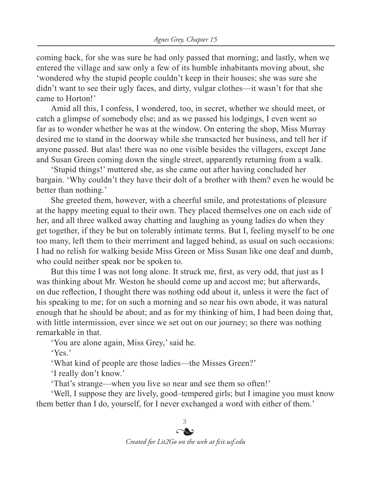coming back, for she was sure he had only passed that morning; and lastly, when we entered the village and saw only a few of its humble inhabitants moving about, she 'wondered why the stupid people couldn't keep in their houses; she was sure she didn't want to see their ugly faces, and dirty, vulgar clothes—it wasn't for that she came to Horton!'

Amid all this, I confess, I wondered, too, in secret, whether we should meet, or catch a glimpse of somebody else; and as we passed his lodgings, I even went so far as to wonder whether he was at the window. On entering the shop, Miss Murray desired me to stand in the doorway while she transacted her business, and tell her if anyone passed. But alas! there was no one visible besides the villagers, except Jane and Susan Green coming down the single street, apparently returning from a walk.

'Stupid things!' muttered she, as she came out after having concluded her bargain. 'Why couldn't they have their dolt of a brother with them? even he would be better than nothing.'

She greeted them, however, with a cheerful smile, and protestations of pleasure at the happy meeting equal to their own. They placed themselves one on each side of her, and all three walked away chatting and laughing as young ladies do when they get together, if they be but on tolerably intimate terms. But I, feeling myself to be one too many, left them to their merriment and lagged behind, as usual on such occasions: I had no relish for walking beside Miss Green or Miss Susan like one deaf and dumb, who could neither speak nor be spoken to.

But this time I was not long alone. It struck me, first, as very odd, that just as I was thinking about Mr. Weston he should come up and accost me; but afterwards, on due reflection, I thought there was nothing odd about it, unless it were the fact of his speaking to me; for on such a morning and so near his own abode, it was natural enough that he should be about; and as for my thinking of him, I had been doing that, with little intermission, ever since we set out on our journey; so there was nothing remarkable in that.

'You are alone again, Miss Grey,' said he.

'Yes.'

'What kind of people are those ladies—the Misses Green?'

'I really don't know.'

'That's strange—when you live so near and see them so often!'

'Well, I suppose they are lively, good–tempered girls; but I imagine you must know them better than I do, yourself, for I never exchanged a word with either of them.'

> 3  $\sim$

*Created for Lit2Go on the web at fcit.usf.edu*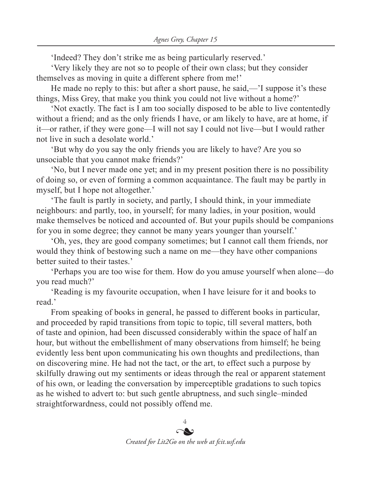'Indeed? They don't strike me as being particularly reserved.'

'Very likely they are not so to people of their own class; but they consider themselves as moving in quite a different sphere from me!'

He made no reply to this: but after a short pause, he said,—'I suppose it's these things, Miss Grey, that make you think you could not live without a home?'

'Not exactly. The fact is I am too socially disposed to be able to live contentedly without a friend; and as the only friends I have, or am likely to have, are at home, if it—or rather, if they were gone—I will not say I could not live—but I would rather not live in such a desolate world.'

'But why do you say the only friends you are likely to have? Are you so unsociable that you cannot make friends?'

'No, but I never made one yet; and in my present position there is no possibility of doing so, or even of forming a common acquaintance. The fault may be partly in myself, but I hope not altogether.'

'The fault is partly in society, and partly, I should think, in your immediate neighbours: and partly, too, in yourself; for many ladies, in your position, would make themselves be noticed and accounted of. But your pupils should be companions for you in some degree; they cannot be many years younger than yourself.'

'Oh, yes, they are good company sometimes; but I cannot call them friends, nor would they think of bestowing such a name on me—they have other companions better suited to their tastes.'

'Perhaps you are too wise for them. How do you amuse yourself when alone—do you read much?'

'Reading is my favourite occupation, when I have leisure for it and books to read.'

From speaking of books in general, he passed to different books in particular, and proceeded by rapid transitions from topic to topic, till several matters, both of taste and opinion, had been discussed considerably within the space of half an hour, but without the embellishment of many observations from himself; he being evidently less bent upon communicating his own thoughts and predilections, than on discovering mine. He had not the tact, or the art, to effect such a purpose by skilfully drawing out my sentiments or ideas through the real or apparent statement of his own, or leading the conversation by imperceptible gradations to such topics as he wished to advert to: but such gentle abruptness, and such single–minded straightforwardness, could not possibly offend me.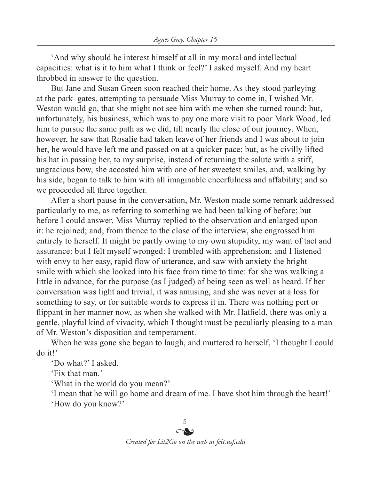'And why should he interest himself at all in my moral and intellectual capacities: what is it to him what I think or feel?' I asked myself. And my heart throbbed in answer to the question.

But Jane and Susan Green soon reached their home. As they stood parleying at the park–gates, attempting to persuade Miss Murray to come in, I wished Mr. Weston would go, that she might not see him with me when she turned round; but, unfortunately, his business, which was to pay one more visit to poor Mark Wood, led him to pursue the same path as we did, till nearly the close of our journey. When, however, he saw that Rosalie had taken leave of her friends and I was about to join her, he would have left me and passed on at a quicker pace; but, as he civilly lifted his hat in passing her, to my surprise, instead of returning the salute with a stiff, ungracious bow, she accosted him with one of her sweetest smiles, and, walking by his side, began to talk to him with all imaginable cheerfulness and affability; and so we proceeded all three together.

After a short pause in the conversation, Mr. Weston made some remark addressed particularly to me, as referring to something we had been talking of before; but before I could answer, Miss Murray replied to the observation and enlarged upon it: he rejoined; and, from thence to the close of the interview, she engrossed him entirely to herself. It might be partly owing to my own stupidity, my want of tact and assurance: but I felt myself wronged: I trembled with apprehension; and I listened with envy to her easy, rapid flow of utterance, and saw with anxiety the bright smile with which she looked into his face from time to time: for she was walking a little in advance, for the purpose (as I judged) of being seen as well as heard. If her conversation was light and trivial, it was amusing, and she was never at a loss for something to say, or for suitable words to express it in. There was nothing pert or flippant in her manner now, as when she walked with Mr. Hatfield, there was only a gentle, playful kind of vivacity, which I thought must be peculiarly pleasing to a man of Mr. Weston's disposition and temperament.

When he was gone she began to laugh, and muttered to herself, 'I thought I could do it!'

'Do what?' I asked.

'Fix that man.'

'What in the world do you mean?'

'I mean that he will go home and dream of me. I have shot him through the heart!'

'How do you know?'